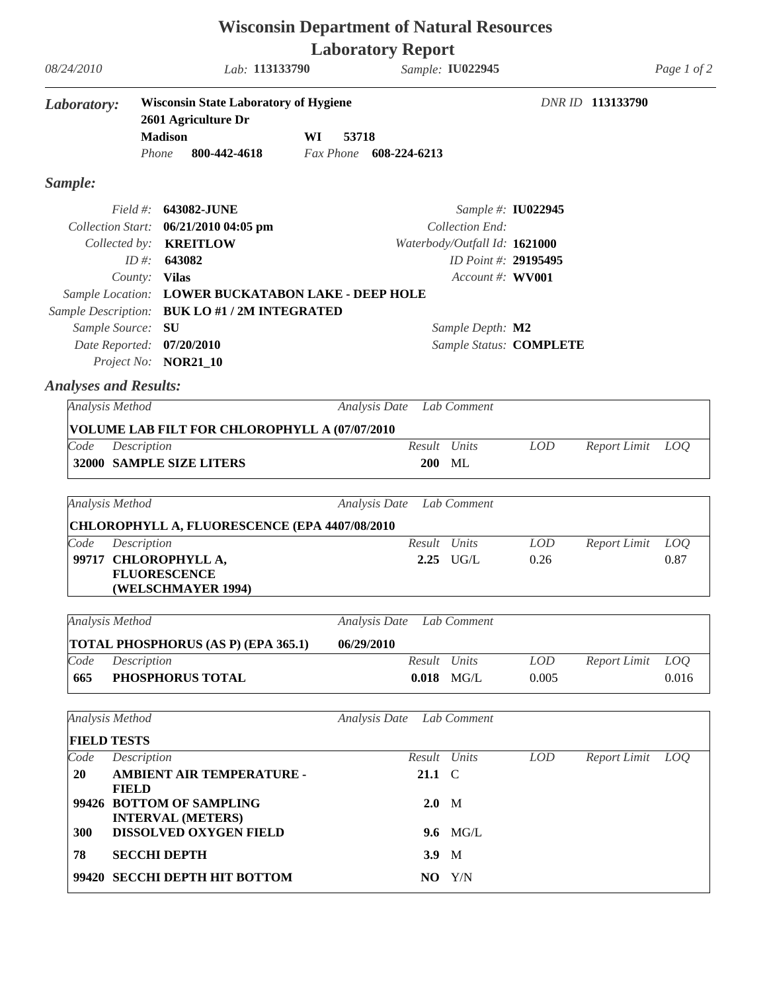| <b>Wisconsin Department of Natural Resources</b> |                                                                                                                |                                                                                                                                                                                                          |                          |                  |                                                                                              |                         |                     |              |  |  |
|--------------------------------------------------|----------------------------------------------------------------------------------------------------------------|----------------------------------------------------------------------------------------------------------------------------------------------------------------------------------------------------------|--------------------------|------------------|----------------------------------------------------------------------------------------------|-------------------------|---------------------|--------------|--|--|
|                                                  |                                                                                                                |                                                                                                                                                                                                          | <b>Laboratory Report</b> |                  |                                                                                              |                         |                     |              |  |  |
| 08/24/2010                                       |                                                                                                                | Lab: 113133790                                                                                                                                                                                           |                          | Sample: IU022945 |                                                                                              |                         |                     |              |  |  |
| Laboratory:                                      | <b>Wisconsin State Laboratory of Hygiene</b><br>2601 Agriculture Dr<br><b>Madison</b><br>800-442-4618<br>Phone |                                                                                                                                                                                                          | WI<br>53718<br>Fax Phone | 608-224-6213     |                                                                                              |                         | DNR ID 113133790    |              |  |  |
| Sample:                                          |                                                                                                                |                                                                                                                                                                                                          |                          |                  |                                                                                              |                         |                     |              |  |  |
|                                                  | Collected by:<br>ID #:<br>County: Vilas                                                                        | Field #: <b>643082-JUNE</b><br>Collection Start: 06/21/2010 04:05 pm<br><b>KREITLOW</b><br>643082<br>Sample Location: LOWER BUCKATABON LAKE - DEEP HOLE<br>Sample Description: BUK LO #1 / 2M INTEGRATED |                          |                  | Collection End:<br>Waterbody/Outfall Id: 1621000<br>ID Point #: 29195495<br>Account #: WV001 | Sample #: IU022945      |                     |              |  |  |
|                                                  | Sample Source:                                                                                                 | SU<br>Date Reported: 07/20/2010<br>Project No: NOR21_10                                                                                                                                                  |                          |                  | Sample Depth: M2                                                                             | Sample Status: COMPLETE |                     |              |  |  |
| <b>Analyses and Results:</b>                     |                                                                                                                |                                                                                                                                                                                                          |                          |                  |                                                                                              |                         |                     |              |  |  |
|                                                  | Analysis Method                                                                                                |                                                                                                                                                                                                          | Analysis Date            |                  | Lab Comment                                                                                  |                         |                     |              |  |  |
|                                                  |                                                                                                                | VOLUME LAB FILT FOR CHLOROPHYLL A (07/07/2010                                                                                                                                                            |                          |                  |                                                                                              |                         |                     |              |  |  |
| Code                                             | Description                                                                                                    | 32000 SAMPLE SIZE LITERS                                                                                                                                                                                 |                          | Result<br>200    | Units<br>ML                                                                                  | <b>LOD</b>              | <b>Report Limit</b> | LOQ          |  |  |
|                                                  | Analysis Method                                                                                                | CHLOROPHYLL A, FLUORESCENCE (EPA 4407/08/2010                                                                                                                                                            | Analysis Date            |                  | Lab Comment                                                                                  |                         |                     |              |  |  |
| Code                                             | Description                                                                                                    |                                                                                                                                                                                                          |                          | Result           | Units                                                                                        | <b>LOD</b>              | <b>Report Limit</b> | LOQ          |  |  |
|                                                  |                                                                                                                | 99717 CHLOROPHYLL A,<br><b>FLUORESCENCE</b><br>(WELSCHMAYER 1994)                                                                                                                                        |                          |                  | $2.25$ UG/L                                                                                  | 0.26                    |                     | 0.87         |  |  |
|                                                  | Analysis Method                                                                                                |                                                                                                                                                                                                          | Analysis Date            |                  | Lab Comment                                                                                  |                         |                     |              |  |  |
|                                                  |                                                                                                                | TOTAL PHOSPHORUS (AS P) (EPA 365.1)                                                                                                                                                                      | 06/29/2010               |                  |                                                                                              |                         |                     |              |  |  |
| Code<br>665                                      | Description                                                                                                    | PHOSPHORUS TOTAL                                                                                                                                                                                         |                          | Result Units     | $0.018$ MG/L                                                                                 | <b>LOD</b><br>0.005     | Report Limit        | LOQ<br>0.016 |  |  |
|                                                  | <b>Analysis Method</b>                                                                                         |                                                                                                                                                                                                          | Analysis Date            |                  | Lab Comment                                                                                  |                         |                     |              |  |  |
|                                                  | <b>FIELD TESTS</b>                                                                                             |                                                                                                                                                                                                          |                          |                  |                                                                                              |                         |                     |              |  |  |
| Code                                             | Description                                                                                                    |                                                                                                                                                                                                          |                          | Result Units     |                                                                                              | <b>LOD</b>              | Report Limit        | LOQ          |  |  |
| <b>20</b>                                        | <b>FIELD</b>                                                                                                   | AMBIENT AIR TEMPERATURE -                                                                                                                                                                                |                          | 21.1 C           |                                                                                              |                         |                     |              |  |  |
|                                                  |                                                                                                                | 99426 BOTTOM OF SAMPLING<br><b>INTERVAL (METERS)</b>                                                                                                                                                     |                          | $2.0$ M          |                                                                                              |                         |                     |              |  |  |
| 300                                              |                                                                                                                | DISSOLVED OXYGEN FIELD                                                                                                                                                                                   |                          |                  | 9.6 MG/L                                                                                     |                         |                     |              |  |  |
| 78                                               |                                                                                                                | <b>SECCHI DEPTH</b>                                                                                                                                                                                      |                          | 3.9 M            |                                                                                              |                         |                     |              |  |  |

**NO** Y/N

**99420 SECCHI DEPTH HIT BOTTOM**